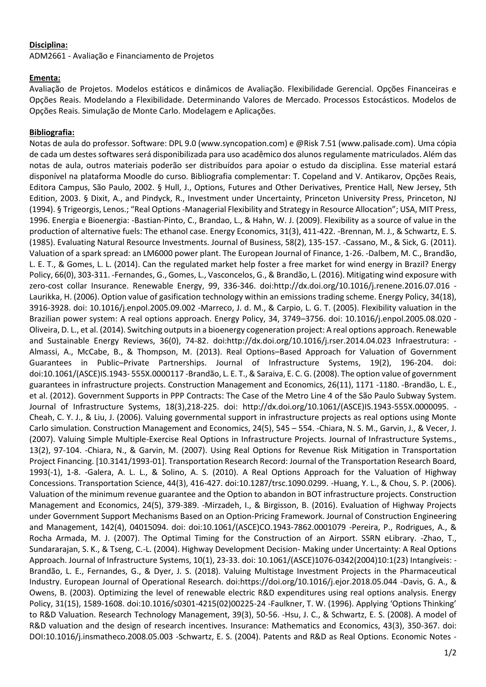## **Disciplina:**

ADM2661 - Avaliação e Financiamento de Projetos

## **Ementa:**

Avaliação de Projetos. Modelos estáticos e dinâmicos de Avaliação. Flexibilidade Gerencial. Opções Financeiras e Opções Reais. Modelando a Flexibilidade. Determinando Valores de Mercado. Processos Estocásticos. Modelos de Opções Reais. Simulação de Monte Carlo. Modelagem e Aplicações.

## **Bibliografia:**

Notas de aula do professor. Software: DPL 9.0 (www.syncopation.com) e @Risk 7.51 (www.palisade.com). Uma cópia de cada um destes softwares será disponibilizada para uso acadêmico dos alunos regulamente matriculados. Além das notas de aula, outros materiais poderão ser distribuídos para apoiar o estudo da disciplina. Esse material estará disponível na plataforma Moodle do curso. Bibliografia complementar: T. Copeland and V. Antikarov, Opções Reais, Editora Campus, São Paulo, 2002. § Hull, J., Options, Futures and Other Derivatives, Prentice Hall, New Jersey, 5th Edition, 2003. § Dixit, A., and Pindyck, R., Investment under Uncertainty, Princeton University Press, Princeton, NJ (1994). § Trigeorgis, Lenos.; "Real Options -Managerial Flexibility and Strategy in Resource Allocation"; USA, MIT Press, 1996. Energia e Bioenergia: -Bastian-Pinto, C., Brandao, L., & Hahn, W. J. (2009). Flexibility as a source of value in the production of alternative fuels: The ethanol case. Energy Economics, 31(3), 411-422. -Brennan, M. J., & Schwartz, E. S. (1985). Evaluating Natural Resource Investments. Journal of Business, 58(2), 135-157. -Cassano, M., & Sick, G. (2011). Valuation of a spark spread: an LM6000 power plant. The European Journal of Finance, 1-26. -Dalbem, M. C., Brandão, L. E. T., & Gomes, L. L. (2014). Can the regulated market help foster a free market for wind energy in Brazil? Energy Policy, 66(0), 303-311. -Fernandes, G., Gomes, L., Vasconcelos, G., & Brandão, L. (2016). Mitigating wind exposure with zero-cost collar Insurance. Renewable Energy, 99, 336-346. doi:http://dx.doi.org/10.1016/j.renene.2016.07.016 - Laurikka, H. (2006). Option value of gasification technology within an emissions trading scheme. Energy Policy, 34(18), 3916-3928. doi: 10.1016/j.enpol.2005.09.002 -Marreco, J. d. M., & Carpio, L. G. T. (2005). Flexibility valuation in the Brazilian power system: A real options approach. Energy Policy, 34, 3749–3756. doi: 10.1016/j.enpol.2005.08.020 - Oliveira, D. L., et al. (2014). Switching outputs in a bioenergy cogeneration project: A real options approach. Renewable and Sustainable Energy Reviews, 36(0), 74-82. doi:http://dx.doi.org/10.1016/j.rser.2014.04.023 Infraestrutura: - Almassi, A., McCabe, B., & Thompson, M. (2013). Real Options–Based Approach for Valuation of Government Guarantees in Public–Private Partnerships. Journal of Infrastructure Systems, 19(2), 196-204. doi: doi:10.1061/(ASCE)IS.1943- 555X.0000117 -Brandão, L. E. T., & Saraiva, E. C. G. (2008). The option value of government guarantees in infrastructure projects. Construction Management and Economics, 26(11), 1171 -1180. -Brandão, L. E., et al. (2012). Government Supports in PPP Contracts: The Case of the Metro Line 4 of the São Paulo Subway System. Journal of Infrastructure Systems, 18(3),218-225. doi: http://dx.doi.org/10.1061/(ASCE)IS.1943-555X.0000095. - Cheah, C. Y. J., & Liu, J. (2006). Valuing governmental support in infrastructure projects as real options using Monte Carlo simulation. Construction Management and Economics, 24(5), 545 – 554. -Chiara, N. S. M., Garvin, J., & Vecer, J. (2007). Valuing Simple Multiple-Exercise Real Options in Infrastructure Projects. Journal of Infrastructure Systems., 13(2), 97-104. -Chiara, N., & Garvin, M. (2007). Using Real Options for Revenue Risk Mitigation in Transportation Project Financing. [10.3141/1993-01]. Transportation Research Record: Journal of the Transportation Research Board, 1993(-1), 1-8. -Galera, A. L. L., & Solino, A. S. (2010). A Real Options Approach for the Valuation of Highway Concessions. Transportation Science, 44(3), 416-427. doi:10.1287/trsc.1090.0299. -Huang, Y. L., & Chou, S. P. (2006). Valuation of the minimum revenue guarantee and the Option to abandon in BOT infrastructure projects. Construction Management and Economics, 24(5), 379-389. -Mirzadeh, I., & Birgisson, B. (2016). Evaluation of Highway Projects under Government Support Mechanisms Based on an Option-Pricing Framework. Journal of Construction Engineering and Management, 142(4), 04015094. doi: doi:10.1061/(ASCE)CO.1943-7862.0001079 -Pereira, P., Rodrigues, A., & Rocha Armada, M. J. (2007). The Optimal Timing for the Construction of an Airport. SSRN eLibrary. -Zhao, T., Sundararajan, S. K., & Tseng, C.-L. (2004). Highway Development Decision- Making under Uncertainty: A Real Options Approach. Journal of Infrastructure Systems, 10(1), 23-33. doi: 10.1061/(ASCE)1076-0342(2004)10:1(23) Intangíveis: - Brandão, L. E., Fernandes, G., & Dyer, J. S. (2018). Valuing Multistage Investment Projects in the Pharmaceutical Industry. European Journal of Operational Research. doi:https://doi.org/10.1016/j.ejor.2018.05.044 -Davis, G. A., & Owens, B. (2003). Optimizing the level of renewable electric R&D expenditures using real options analysis. Energy Policy, 31(15), 1589-1608. doi:10.1016/s0301-4215(02)00225-24 -Faulkner, T. W. (1996). Applying 'Options Thinking' to R&D Valuation. Research Technology Management, 39(3), 50-56. -Hsu, J. C., & Schwartz, E. S. (2008). A model of R&D valuation and the design of research incentives. Insurance: Mathematics and Economics, 43(3), 350-367. doi: DOI:10.1016/j.insmatheco.2008.05.003 -Schwartz, E. S. (2004). Patents and R&D as Real Options. Economic Notes -